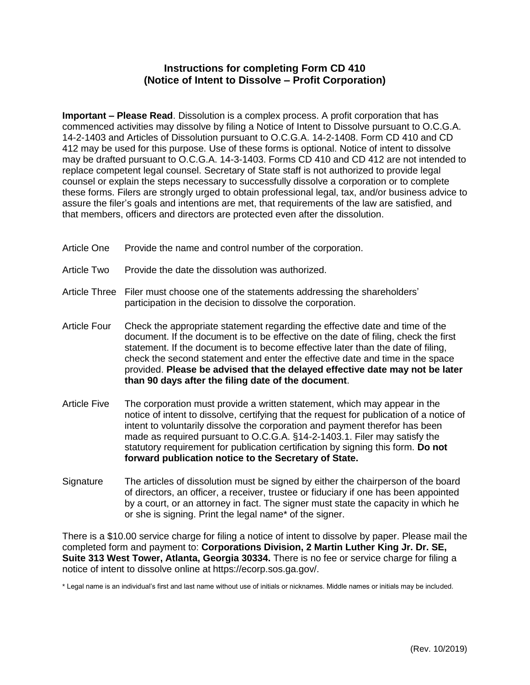## **Instructions for completing Form CD 410 (Notice of Intent to Dissolve – Profit Corporation)**

**Important – Please Read**. Dissolution is a complex process. A profit corporation that has commenced activities may dissolve by filing a Notice of Intent to Dissolve pursuant to O.C.G.A. [14-2-1403](http://www.sos.state.ga.us/cgi-bin/external.asp?link=www.legis.state.ga.us/cgi-bin/gl_codes_detail.pl?code=14-2-1403) and Articles of Dissolution pursuant to O.C.G.A. [14-2-1408.](http://www.sos.state.ga.us/cgi-bin/external.asp?link=www.legis.state.ga.us/cgi-bin/gl_codes_detail.pl?code=14-2-1408) Form CD 410 and CD 412 may be used for this purpose. Use of these forms is optional. Notice of intent to dissolve may be drafted pursuant to O.C.G.A. 14-3-1403. Forms CD 410 and CD 412 are not intended to replace competent legal counsel. Secretary of State staff is not authorized to provide legal counsel or explain the steps necessary to successfully dissolve a corporation or to complete these forms. Filers are strongly urged to obtain professional legal, tax, and/or business advice to assure the filer's goals and intentions are met, that requirements of the law are satisfied, and that members, officers and directors are protected even after the dissolution.

- Article One Provide the name and control number of the corporation.
- Article Two Provide the date the dissolution was authorized.
- Article Three Filer must choose one of the statements addressing the shareholders' participation in the decision to dissolve the corporation.
- Article Four Check the appropriate statement regarding the effective date and time of the document. If the document is to be effective on the date of filing, check the first statement. If the document is to become effective later than the date of filing, check the second statement and enter the effective date and time in the space provided. **Please be advised that the delayed effective date may not be later than 90 days after the filing date of the document**.
- Article Five The corporation must provide a written statement, which may appear in the notice of intent to dissolve, certifying that the request for publication of a notice of intent to voluntarily dissolve the corporation and payment therefor has been made as required pursuant to O.C.G.A. §14-2-1403.1. Filer may satisfy the statutory requirement for publication certification by signing this form. **Do not forward publication notice to the Secretary of State.**
- Signature The articles of dissolution must be signed by either the chairperson of the board of directors, an officer, a receiver, trustee or fiduciary if one has been appointed by a court, or an attorney in fact. The signer must state the capacity in which he or she is signing. Print the legal name\* of the signer.

There is a \$10.00 service charge for filing a notice of intent to dissolve by paper. Please mail the completed form and payment to: **Corporations Division, 2 Martin Luther King Jr. Dr. SE, Suite 313 West Tower, Atlanta, Georgia 30334.** There is no fee or service charge for filing a notice of intent to dissolve online at https://ecorp.sos.ga.gov/.

\* Legal name is an individual's first and last name without use of initials or nicknames. Middle names or initials may be included.